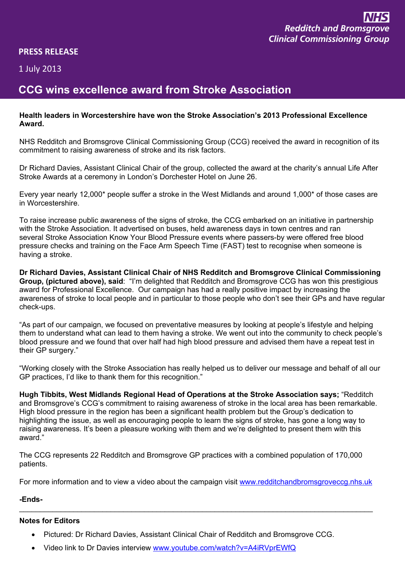| . |  |
|---|--|
|   |  |
|   |  |

 $\frac{1}{2}$